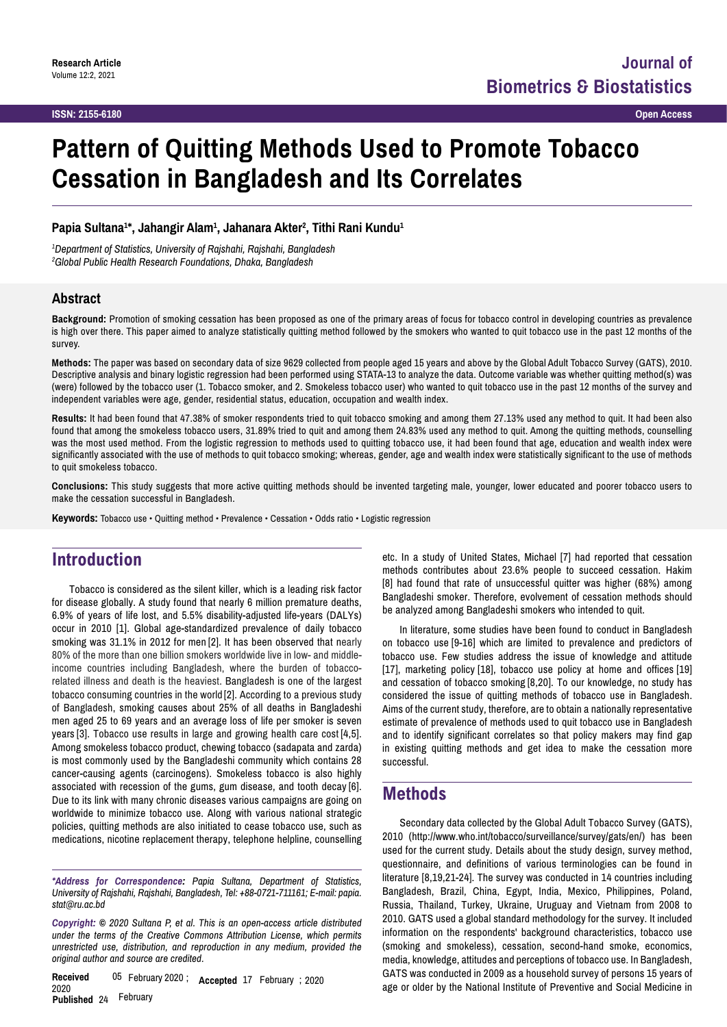# **Pattern of Quitting Methods Used to Promote Tobacco Cessation in Bangladesh and Its Correlates**

#### **Papia Sultana1 \*, Jahangir Alam1 , Jahanara Akter2 , Tithi Rani Kundu1**

*1 Department of Statistics, University of Rajshahi, Rajshahi, Bangladesh 2 Global Public Health Research Foundations, Dhaka, Bangladesh*

#### **Abstract**

**Background:** Promotion of smoking cessation has been proposed as one of the primary areas of focus for tobacco control in developing countries as prevalence is high over there. This paper aimed to analyze statistically quitting method followed by the smokers who wanted to quit tobacco use in the past 12 months of the survey.

**Methods:** The paper was based on secondary data of size 9629 collected from people aged 15 years and above by the Global Adult Tobacco Survey (GATS), 2010. Descriptive analysis and binary logistic regression had been performed using STATA-13 to analyze the data. Outcome variable was whether quitting method(s) was (were) followed by the tobacco user (1. Tobacco smoker, and 2. Smokeless tobacco user) who wanted to quit tobacco use in the past 12 months of the survey and independent variables were age, gender, residential status, education, occupation and wealth index.

**Results:** It had been found that 47.38% of smoker respondents tried to quit tobacco smoking and among them 27.13% used any method to quit. It had been also found that among the smokeless tobacco users, 31.89% tried to quit and among them 24.83% used any method to quit. Among the quitting methods, counselling was the most used method. From the logistic regression to methods used to quitting tobacco use, it had been found that age, education and wealth index were significantly associated with the use of methods to quit tobacco smoking; whereas, gender, age and wealth index were statistically significant to the use of methods to quit smokeless tobacco.

**Conclusions:** This study suggests that more active quitting methods should be invented targeting male, younger, lower educated and poorer tobacco users to make the cessation successful in Bangladesh.

**Keywords:** Tobacco use • Quitting method • Prevalence • Cessation • Odds ratio • Logistic regression

## **Introduction**

Tobacco is considered as the silent killer, which is a leading risk factor for disease globally. A study found that nearly 6 million premature deaths, 6.9% of years of life lost, and 5.5% disability-adjusted life-years (DALYs) occur in 2010 [1]. Global age-standardized prevalence of daily tobacco smoking was 31.1% in 2012 for men [2]. It has been observed that nearly 80% of the more than one billion smokers worldwide live in low- and middleincome countries including Bangladesh, where the burden of tobaccorelated illness and death is the heaviest. Bangladesh is one of the largest tobacco consuming countries in the world [2]. According to a previous study of Bangladesh, smoking causes about 25% of all deaths in Bangladeshi men aged 25 to 69 years and an average loss of life per smoker is seven years [3]. Tobacco use results in large and growing health care cost [4,5]. Among smokeless tobacco product, chewing tobacco (sadapata and zarda) is most commonly used by the Bangladeshi community which contains 28 cancer-causing agents (carcinogens). Smokeless tobacco is also highly associated with recession of the gums, gum disease, and tooth decay [6]. Due to its link with many chronic diseases various campaigns are going on worldwide to minimize tobacco use. Along with various national strategic policies, quitting methods are also initiated to cease tobacco use, such as medications, nicotine replacement therapy, telephone helpline, counselling

*\*Address for Correspondence: Papia Sultana, Department of Statistics, University of Rajshahi, Rajshahi, Bangladesh, Tel: +88-0721-711161; E-mail: papia. stat@ru.ac.bd*

*Copyright: © 2020 Sultana P, et al. This is an open-access article distributed under the terms of the Creative Commons Attribution License, which permits unrestricted use, distribution, and reproduction in any medium, provided the original author and source are credited.*

**Received** 05 February 2020 ; **Accepted** 17 February ; <sup>2020</sup> **Published** 24 February 2020

etc. In a study of United States, Michael [7] had reported that cessation methods contributes about 23.6% people to succeed cessation. Hakim [8] had found that rate of unsuccessful quitter was higher (68%) among Bangladeshi smoker. Therefore, evolvement of cessation methods should be analyzed among Bangladeshi smokers who intended to quit.

In literature, some studies have been found to conduct in Bangladesh on tobacco use [9-16] which are limited to prevalence and predictors of tobacco use. Few studies address the issue of knowledge and attitude [17], marketing policy [18], tobacco use policy at home and offices [19] and cessation of tobacco smoking [8,20]. To our knowledge, no study has considered the issue of quitting methods of tobacco use in Bangladesh. Aims of the current study, therefore, are to obtain a nationally representative estimate of prevalence of methods used to quit tobacco use in Bangladesh and to identify significant correlates so that policy makers may find gap in existing quitting methods and get idea to make the cessation more successful.

#### **Methods**

Secondary data collected by the Global Adult Tobacco Survey (GATS), 2010 (http://www.who.int/tobacco/surveillance/survey/gats/en/) has been used for the current study. Details about the study design, survey method, questionnaire, and definitions of various terminologies can be found in literature [8,19,21-24]. The survey was conducted in 14 countries including Bangladesh, Brazil, China, Egypt, India, Mexico, Philippines, Poland, Russia, Thailand, Turkey, Ukraine, Uruguay and Vietnam from 2008 to 2010. GATS used a global standard methodology for the survey. It included information on the respondents' background characteristics, tobacco use (smoking and smokeless), cessation, second-hand smoke, economics, media, knowledge, attitudes and perceptions of tobacco use. In Bangladesh, GATS was conducted in 2009 as a household survey of persons 15 years of age or older by the National Institute of Preventive and Social Medicine in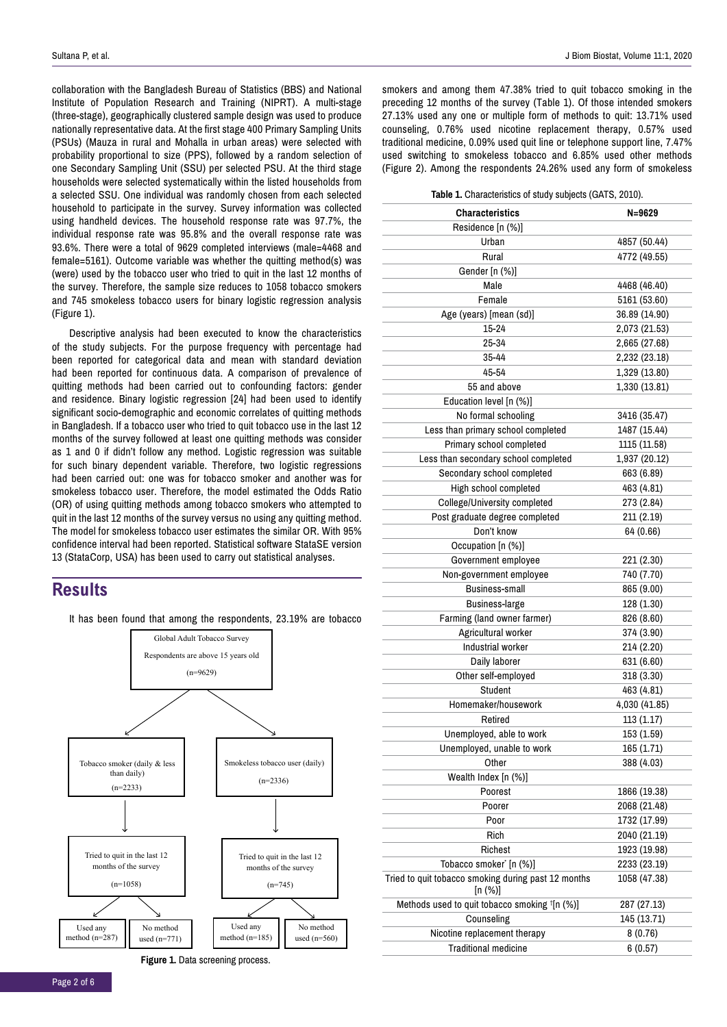collaboration with the Bangladesh Bureau of Statistics (BBS) and National Institute of Population Research and Training (NIPRT). A multi-stage (three-stage), geographically clustered sample design was used to produce nationally representative data. At the first stage 400 Primary Sampling Units (PSUs) (Mauza in rural and Mohalla in urban areas) were selected with probability proportional to size (PPS), followed by a random selection of one Secondary Sampling Unit (SSU) per selected PSU. At the third stage households were selected systematically within the listed households from a selected SSU. One individual was randomly chosen from each selected household to participate in the survey. Survey information was collected using handheld devices. The household response rate was 97.7%, the individual response rate was 95.8% and the overall response rate was 93.6%. There were a total of 9629 completed interviews (male=4468 and female=5161). Outcome variable was whether the quitting method(s) was (were) used by the tobacco user who tried to quit in the last 12 months of the survey. Therefore, the sample size reduces to 1058 tobacco smokers and 745 smokeless tobacco users for binary logistic regression analysis (Figure 1).

Descriptive analysis had been executed to know the characteristics of the study subjects. For the purpose frequency with percentage had been reported for categorical data and mean with standard deviation had been reported for continuous data. A comparison of prevalence of quitting methods had been carried out to confounding factors: gender and residence. Binary logistic regression [24] had been used to identify significant socio-demographic and economic correlates of quitting methods in Bangladesh. If a tobacco user who tried to quit tobacco use in the last 12 months of the survey followed at least one quitting methods was consider as 1 and 0 if didn't follow any method. Logistic regression was suitable for such binary dependent variable. Therefore, two logistic regressions had been carried out: one was for tobacco smoker and another was for smokeless tobacco user. Therefore, the model estimated the Odds Ratio (OR) of using quitting methods among tobacco smokers who attempted to quit in the last 12 months of the survey versus no using any quitting method. The model for smokeless tobacco user estimates the similar OR. With 95% confidence interval had been reported. Statistical software StataSE version 13 (StataCorp, USA) has been used to carry out statistical analyses.

## **Results**

It has been found that among the respondents, 23.19% are tobacco



**Figure 1.** Data screening process.

smokers and among them 47.38% tried to quit tobacco smoking in the preceding 12 months of the survey (Table 1). Of those intended smokers 27.13% used any one or multiple form of methods to quit: 13.71% used counseling, 0.76% used nicotine replacement therapy, 0.57% used traditional medicine, 0.09% used quit line or telephone support line, 7.47% used switching to smokeless tobacco and 6.85% used other methods (Figure 2). Among the respondents 24.26% used any form of smokeless

**Table 1.** Characteristics of study subjects (GATS, 2010).

| <b>Characteristics</b>                                         | $N = 9629$    |
|----------------------------------------------------------------|---------------|
| Residence [n (%)]                                              |               |
| Urban                                                          | 4857 (50.44)  |
| Rural                                                          | 4772 (49.55)  |
| Gender [n (%)]                                                 |               |
| Male                                                           | 4468 (46.40)  |
| Female                                                         | 5161 (53.60)  |
| Age (years) [mean (sd)]                                        | 36.89 (14.90) |
| 15-24                                                          | 2,073 (21.53) |
| 25-34                                                          | 2,665 (27.68) |
| 35-44                                                          | 2,232 (23.18) |
| 45-54                                                          | 1,329 (13.80) |
| 55 and above                                                   | 1,330 (13.81) |
| Education level [n (%)]                                        |               |
| No formal schooling                                            | 3416 (35.47)  |
| Less than primary school completed                             | 1487 (15.44)  |
| Primary school completed                                       | 1115 (11.58)  |
| Less than secondary school completed                           | 1,937 (20.12) |
| Secondary school completed                                     | 663 (6.89)    |
| High school completed                                          | 463 (4.81)    |
| College/University completed                                   | 273 (2.84)    |
| Post graduate degree completed                                 | 211 (2.19)    |
| Don't know                                                     | 64 (0.66)     |
| Occupation [n (%)]                                             |               |
| Government employee                                            | 221 (2.30)    |
| Non-government employee                                        | 740 (7.70)    |
| <b>Business-small</b>                                          | 865 (9.00)    |
| <b>Business-large</b>                                          | 128 (1.30)    |
| Farming (land owner farmer)                                    | 826 (8.60)    |
| Agricultural worker                                            | 374 (3.90)    |
| Industrial worker                                              | 214 (2.20)    |
| Daily laborer                                                  | 631 (6.60)    |
| Other self-employed                                            | 318 (3.30)    |
| <b>Student</b>                                                 | 463 (4.81)    |
| Homemaker/housework                                            | 4,030 (41.85) |
| Retired                                                        | 113 (1.17)    |
| Unemployed, able to work                                       | 153 (1.59)    |
| Unemployed, unable to work                                     | 165 (1.71)    |
| Other                                                          | 388 (4.03)    |
| Wealth Index [n (%)]                                           |               |
| Poorest                                                        | 1866 (19.38)  |
| Poorer                                                         | 2068 (21.48)  |
| Poor                                                           | 1732 (17.99)  |
| Rich                                                           | 2040 (21.19)  |
| Richest                                                        | 1923 (19.98)  |
| Tobacco smoker' [n (%)]                                        | 2233 (23.19)  |
| Tried to quit tobacco smoking during past 12 months<br>[n (%)] | 1058 (47.38)  |
| Methods used to quit tobacco smoking <sup>+</sup> [n (%)]      | 287 (27.13)   |
| Counseling                                                     | 145 (13.71)   |
| Nicotine replacement therapy                                   | 8(0.76)       |
| <b>Traditional medicine</b>                                    | 6(0.57)       |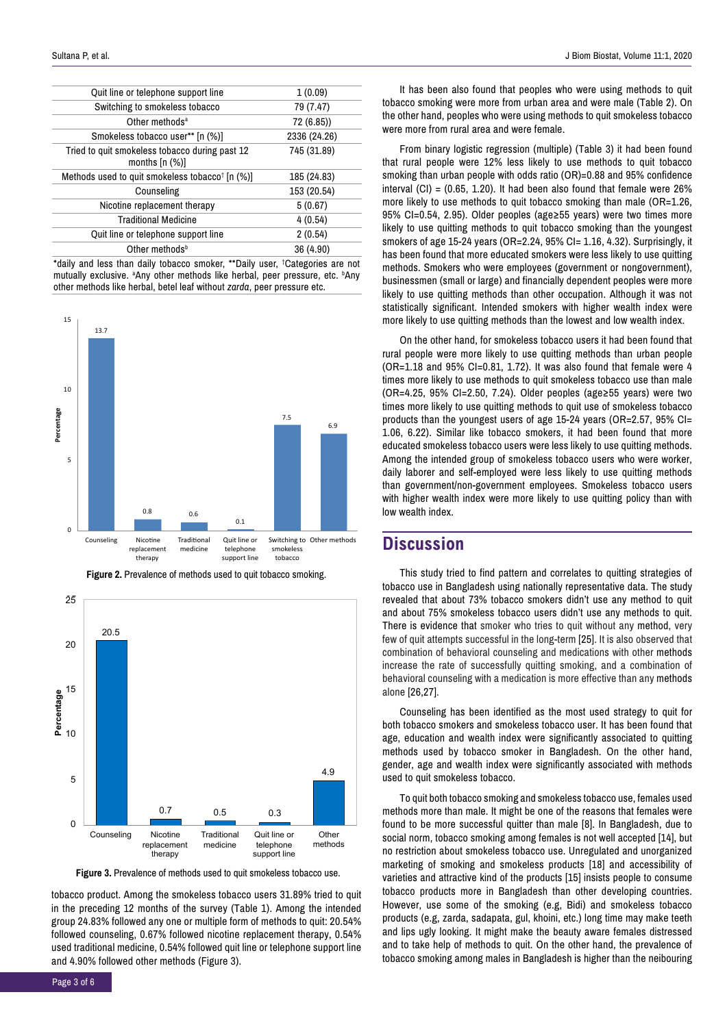| Quit line or telephone support line                                | 1(0.09)      |
|--------------------------------------------------------------------|--------------|
| Switching to smokeless tobacco                                     | 79 (7.47)    |
| Other methods <sup>a</sup>                                         | 72 (6.85))   |
| Smokeless tobacco user** [n (%)]                                   | 2336 (24.26) |
| Tried to quit smokeless tobacco during past 12<br>months $[n (%)]$ | 745 (31.89)  |
| Methods used to quit smokeless tobacco <sup>†</sup> [n (%)]        | 185 (24.83)  |
| Counseling                                                         | 153 (20.54)  |
| Nicotine replacement therapy                                       | 5(0.67)      |
| <b>Traditional Medicine</b>                                        | 4(0.54)      |
| Quit line or telephone support line                                | 2(0.54)      |
| Other methods <sup>b</sup>                                         | 36 (4.90)    |

\*daily and less than daily tobacco smoker, \*\*Daily user, † Categories are not mutually exclusive. <sup>a</sup>Any other methods like herbal, peer pressure, etc. <sup>b</sup>Any other methods like herbal, betel leaf without *zarda*, peer pressure etc.







**Figure 3.** Prevalence of methods used to quit smokeless tobacco use.

tobacco product. Among the smokeless tobacco users 31.89% tried to quit in the preceding 12 months of the survey (Table 1). Among the intended group 24.83% followed any one or multiple form of methods to quit: 20.54% followed counseling, 0.67% followed nicotine replacement therapy, 0.54% used traditional medicine, 0.54% followed quit line or telephone support line and 4.90% followed other methods (Figure 3).

It has been also found that peoples who were using methods to quit tobacco smoking were more from urban area and were male (Table 2). On the other hand, peoples who were using methods to quit smokeless tobacco were more from rural area and were female.

From binary logistic regression (multiple) (Table 3) it had been found that rural people were 12% less likely to use methods to quit tobacco smoking than urban people with odds ratio (OR)=0.88 and 95% confidence interval  $(CI) = (0.65, 1.20)$ . It had been also found that female were 26% more likely to use methods to quit tobacco smoking than male (OR=1.26, 95% CI=0.54, 2.95). Older peoples (age≥55 years) were two times more likely to use quitting methods to quit tobacco smoking than the youngest smokers of age 15-24 years (OR=2.24, 95% CI= 1.16, 4.32). Surprisingly, it has been found that more educated smokers were less likely to use quitting methods. Smokers who were employees (government or nongovernment), businessmen (small or large) and financially dependent peoples were more likely to use quitting methods than other occupation. Although it was not statistically significant. Intended smokers with higher wealth index were more likely to use quitting methods than the lowest and low wealth index.

On the other hand, for smokeless tobacco users it had been found that rural people were more likely to use quitting methods than urban people  $(OR=1.18$  and  $95\%$  CI=0.81, 1.72). It was also found that female were 4 times more likely to use methods to quit smokeless tobacco use than male (OR=4.25, 95% CI=2.50, 7.24). Older peoples (age≥55 years) were two times more likely to use quitting methods to quit use of smokeless tobacco products than the youngest users of age 15-24 years (OR=2.57, 95% CI= 1.06, 6.22). Similar like tobacco smokers, it had been found that more educated smokeless tobacco users were less likely to use quitting methods. Among the intended group of smokeless tobacco users who were worker, daily laborer and self-employed were less likely to use quitting methods than government/non-government employees. Smokeless tobacco users with higher wealth index were more likely to use quitting policy than with low wealth index.

#### **Discussion**

This study tried to find pattern and correlates to quitting strategies of tobacco use in Bangladesh using nationally representative data. The study revealed that about 73% tobacco smokers didn't use any method to quit and about 75% smokeless tobacco users didn't use any methods to quit. There is evidence that smoker who tries to quit without any method, very few of quit attempts successful in the long-term [25]. It is also observed that combination of behavioral counseling and medications with other methods increase the rate of successfully quitting smoking, and a combination of behavioral counseling with a medication is more effective than any methods alone [26,27].

Counseling has been identified as the most used strategy to quit for both tobacco smokers and smokeless tobacco user. It has been found that age, education and wealth index were significantly associated to quitting methods used by tobacco smoker in Bangladesh. On the other hand, gender, age and wealth index were significantly associated with methods used to quit smokeless tobacco.

To quit both tobacco smoking and smokeless tobacco use, females used methods more than male. It might be one of the reasons that females were found to be more successful quitter than male [8]. In Bangladesh, due to social norm, tobacco smoking among females is not well accepted [14], but no restriction about smokeless tobacco use. Unregulated and unorganized marketing of smoking and smokeless products [18] and accessibility of varieties and attractive kind of the products [15] insists people to consume tobacco products more in Bangladesh than other developing countries. However, use some of the smoking (e.g, Bidi) and smokeless tobacco products (e.g, zarda, sadapata, gul, khoini, etc.) long time may make teeth and lips ugly looking. It might make the beauty aware females distressed and to take help of methods to quit. On the other hand, the prevalence of tobacco smoking among males in Bangladesh is higher than the neibouring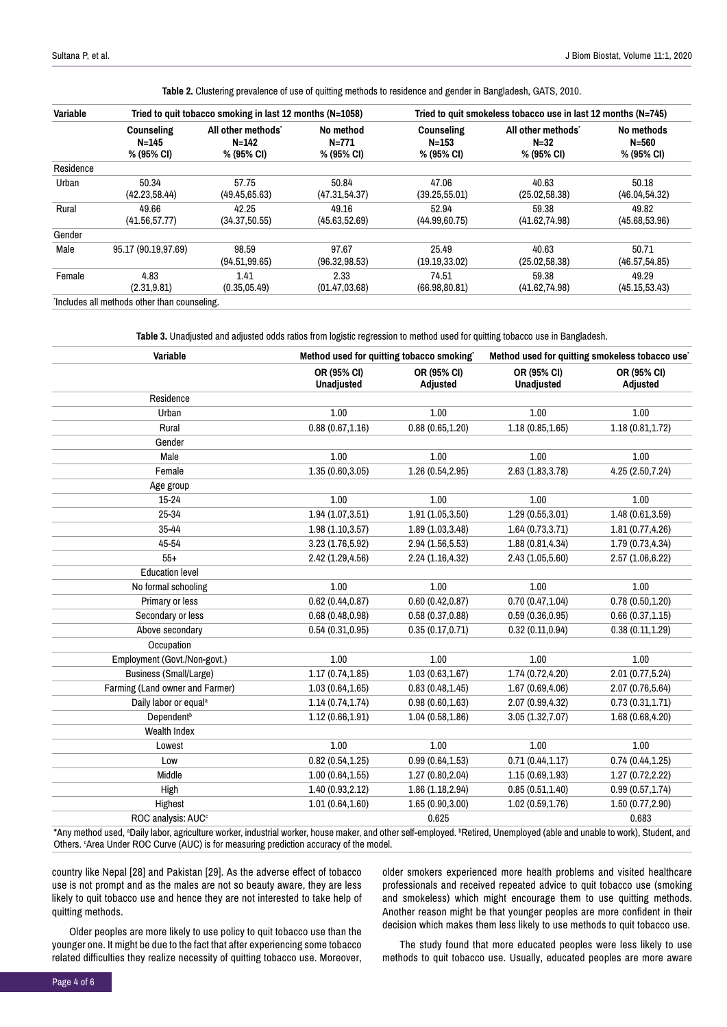| Variable  | Tried to quit tobacco smoking in last 12 months (N=1058) |                                               |                                      | Tried to quit smokeless tobacco use in last 12 months $(N=745)$ |                                              |                                                  |
|-----------|----------------------------------------------------------|-----------------------------------------------|--------------------------------------|-----------------------------------------------------------------|----------------------------------------------|--------------------------------------------------|
|           | Counseling<br>$N = 145$<br>% (95% CI)                    | All other methods'<br>$N = 142$<br>% (95% CI) | No method<br>$N = 771$<br>% (95% CI) | Counseling<br>$N = 153$<br>% (95% CI)                           | All other methods'<br>$N = 32$<br>% (95% CI) | No methods<br>$N = 560$<br>$% (95\% \text{ Cl})$ |
| Residence |                                                          |                                               |                                      |                                                                 |                                              |                                                  |
| Urban     | 50.34<br>(42.23.58.44)                                   | 57.75<br>(49.45,65.63)                        | 50.84<br>(47.31, 54.37)              | 47.06<br>(39.25, 55.01)                                         | 40.63<br>(25.02, 58.38)                      | 50.18<br>(46.04, 54.32)                          |
| Rural     | 49.66<br>(41.56.57.77)                                   | 42.25<br>(34.37, 50.55)                       | 49.16<br>(45.63.52.69)               | 52.94<br>(44.99.60.75)                                          | 59.38<br>(41.62, 74.98)                      | 49.82<br>(45.68, 53.96)                          |
| Gender    |                                                          |                                               |                                      |                                                                 |                                              |                                                  |
| Male      | 95.17 (90.19,97.69)                                      | 98.59<br>(94.51, 99.65)                       | 97.67<br>(96.32, 98.53)              | 25.49<br>(19.19.33.02)                                          | 40.63<br>(25.02, 58.38)                      | 50.71<br>(46.57, 54.85)                          |
| Female    | 4.83<br>(2.31, 9.81)                                     | 1.41<br>(0.35.05.49)                          | 2.33<br>(01.47, 03.68)               | 74.51<br>(66.98, 80.81)                                         | 59.38<br>(41.62, 74.98)                      | 49.29<br>(45.15.53.43)                           |
|           | tradudes all methode sthor than counsaling               |                                               |                                      |                                                                 |                                              |                                                  |

**Table 2.** Clustering prevalence of use of quitting methods to residence and gender in Bangladesh, GATS, 2010.

\* Includes all methods other than counseling.

**Table 3.** Unadjusted and adjusted odds ratios from logistic regression to method used for quitting tobacco use in Bangladesh.

| Variable                             | Method used for quitting tobacco smoking' |                         | Method used for quitting smokeless tobacco use |                         |
|--------------------------------------|-------------------------------------------|-------------------------|------------------------------------------------|-------------------------|
|                                      | OR (95% CI)<br><b>Unadjusted</b>          | OR (95% CI)<br>Adjusted | OR (95% CI)<br><b>Unadjusted</b>               | OR (95% CI)<br>Adjusted |
| Residence                            |                                           |                         |                                                |                         |
| Urban                                | 1.00                                      | 1.00                    | 1.00                                           | 1.00                    |
| Rural                                | 0.88(0.67, 1.16)                          | 0.88(0.65, 1.20)        | 1.18 (0.85,1.65)                               | 1.18 (0.81,1.72)        |
| Gender                               |                                           |                         |                                                |                         |
| Male                                 | 1.00                                      | 1.00                    | 1.00                                           | 1.00                    |
| Female                               | 1.35(0.60, 3.05)                          | 1.26 (0.54,2.95)        | 2.63 (1.83,3.78)                               | 4.25 (2.50,7.24)        |
| Age group                            |                                           |                         |                                                |                         |
| 15-24                                | 1.00                                      | 1.00                    | 1.00                                           | 1.00                    |
| 25-34                                | 1.94(1.07, 3.51)                          | 1.91(1.05, 3.50)        | 1.29 (0.55,3.01)                               | 1.48 (0.61,3.59)        |
| 35-44                                | 1.98(1.10, 3.57)                          | 1.89 (1.03,3.48)        | 1.64 (0.73,3.71)                               | 1.81 (0.77,4.26)        |
| 45-54                                | 3.23 (1.76,5.92)                          | 2.94 (1.56,5.53)        | 1.88 (0.81,4.34)                               | 1.79 (0.73,4.34)        |
| $55+$                                | 2.42 (1.29,4.56)                          | 2.24 (1.16,4.32)        | 2.43 (1.05,5.60)                               | 2.57 (1.06,6.22)        |
| <b>Education level</b>               |                                           |                         |                                                |                         |
| No formal schooling                  | 1.00                                      | 1.00                    | 1.00                                           | 1.00                    |
| Primary or less                      | 0.62(0.44, 0.87)                          | 0.60(0.42, 0.87)        | 0.70(0.47, 1.04)                               | 0.78(0.50, 1.20)        |
| Secondary or less                    | 0.68(0.48, 0.98)                          | 0.58(0.37, 0.88)        | 0.59(0.36, 0.95)                               | 0.66(0.37, 1.15)        |
| Above secondary                      | 0.54(0.31, 0.95)                          | 0.35(0.17, 0.71)        | 0.32(0.11, 0.94)                               | 0.38(0.11, 1.29)        |
| Occupation                           |                                           |                         |                                                |                         |
| Employment (Govt./Non-govt.)         | 1.00                                      | 1.00                    | 1.00                                           | 1.00                    |
| <b>Business (Small/Large)</b>        | 1.17 (0.74,1.85)                          | 1.03(0.63, 1.67)        | 1.74 (0.72,4.20)                               | 2.01 (0.77,5.24)        |
| Farming (Land owner and Farmer)      | 1.03(0.64, 1.65)                          | 0.83(0.48, 1.45)        | 1.67 (0.69,4.06)                               | 2.07 (0.76,5.64)        |
| Daily labor or equal <sup>a</sup>    | 1.14(0.74, 1.74)                          | 0.98(0.60, 1.63)        | 2.07 (0.99,4.32)                               | 0.73(0.31, 1.71)        |
| Dependent <sup>b</sup>               | 1.12(0.66, 1.91)                          | 1.04(0.58, 1.86)        | 3.05(1.32, 7.07)                               | 1.68 (0.68,4.20)        |
| Wealth Index                         |                                           |                         |                                                |                         |
| Lowest                               | $1.00\,$                                  | 1.00                    | 1.00                                           | 1.00                    |
| Low                                  | 0.82(0.54, 1.25)                          | 0.99(0.64, 1.53)        | 0.71(0.44, 1.17)                               | 0.74(0.44, 1.25)        |
| Middle                               | 1.00(0.64, 1.55)                          | 1.27 (0.80, 2.04)       | 1.15(0.69, 1.93)                               | 1.27 (0.72,2.22)        |
| High                                 | 1.40 (0.93,2.12)                          | 1.86 (1.18,2.94)        | 0.85(0.51, 1.40)                               | 0.99(0.57, 1.74)        |
| Highest                              | 1.01(0.64, 1.60)                          | 1.65(0.90, 3.00)        | 1.02(0.59, 1.76)                               | 1.50 (0.77,2.90)        |
| ROC analysis: AUC <sup>c</sup>       |                                           | 0.625                   |                                                | 0.683                   |
| security and the control of the con- |                                           |                         |                                                |                         |

\*Any method used, ªDaily labor, agriculture worker, industrial worker, house maker, and other self-employed. <sup>b</sup>Retired, Unemployed (able and unable to work), Student, and Others. °Area Under ROC Curve (AUC) is for measuring prediction accuracy of the model.

country like Nepal [28] and Pakistan [29]. As the adverse effect of tobacco use is not prompt and as the males are not so beauty aware, they are less likely to quit tobacco use and hence they are not interested to take help of quitting methods.

older smokers experienced more health problems and visited healthcare professionals and received repeated advice to quit tobacco use (smoking and smokeless) which might encourage them to use quitting methods. Another reason might be that younger peoples are more confident in their decision which makes them less likely to use methods to quit tobacco use.

Older peoples are more likely to use policy to quit tobacco use than the younger one. It might be due to the fact that after experiencing some tobacco related difficulties they realize necessity of quitting tobacco use. Moreover,

The study found that more educated peoples were less likely to use methods to quit tobacco use. Usually, educated peoples are more aware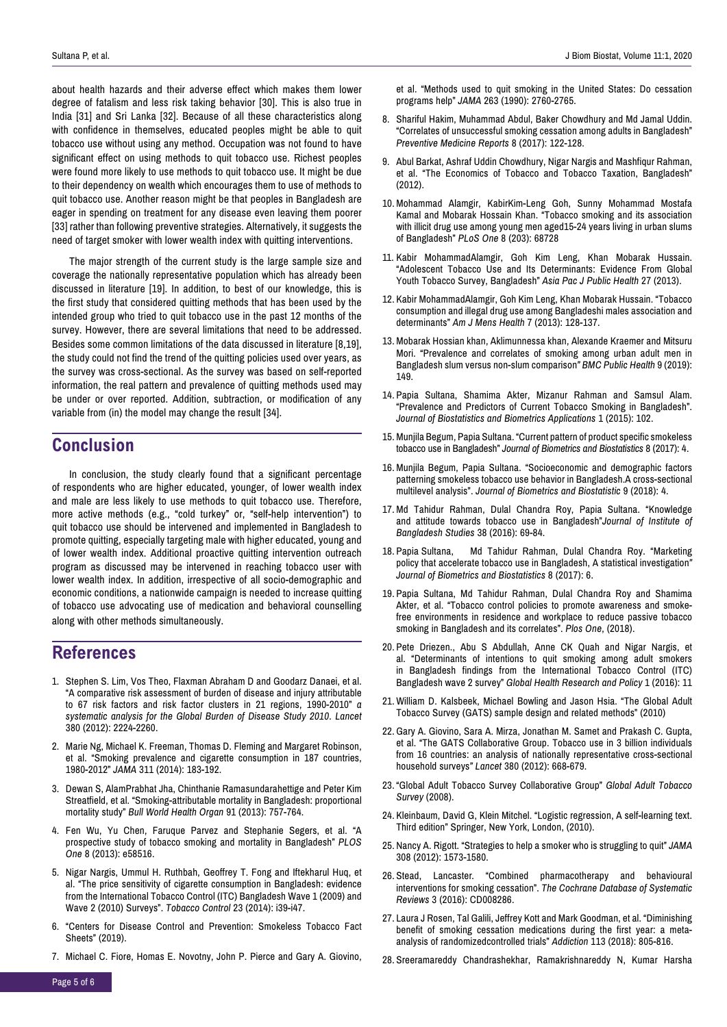about health hazards and their adverse effect which makes them lower degree of fatalism and less risk taking behavior [30]. This is also true in India [31] and Sri Lanka [32]. Because of all these characteristics along with confidence in themselves, educated peoples might be able to quit tobacco use without using any method. Occupation was not found to have significant effect on using methods to quit tobacco use. Richest peoples were found more likely to use methods to quit tobacco use. It might be due to their dependency on wealth which encourages them to use of methods to quit tobacco use. Another reason might be that peoples in Bangladesh are eager in spending on treatment for any disease even leaving them poorer [33] rather than following preventive strategies. Alternatively, it suggests the need of target smoker with lower wealth index with quitting interventions.

The major strength of the current study is the large sample size and coverage the nationally representative population which has already been discussed in literature [19]. In addition, to best of our knowledge, this is the first study that considered quitting methods that has been used by the intended group who tried to quit tobacco use in the past 12 months of the survey. However, there are several limitations that need to be addressed. Besides some common limitations of the data discussed in literature [8,19], the study could not find the trend of the quitting policies used over years, as the survey was cross-sectional. As the survey was based on self-reported information, the real pattern and prevalence of quitting methods used may be under or over reported. Addition, subtraction, or modification of any variable from (in) the model may change the result [34].

#### **Conclusion**

In conclusion, the study clearly found that a significant percentage of respondents who are higher educated, younger, of lower wealth index and male are less likely to use methods to quit tobacco use. Therefore, more active methods (e.g., "cold turkey" or, "self-help intervention") to quit tobacco use should be intervened and implemented in Bangladesh to promote quitting, especially targeting male with higher educated, young and of lower wealth index. Additional proactive quitting intervention outreach program as discussed may be intervened in reaching tobacco user with lower wealth index. In addition, irrespective of all socio-demographic and economic conditions, a nationwide campaign is needed to increase quitting of tobacco use advocating use of medication and behavioral counselling along with other methods simultaneously.

## **References**

- 1. Stephen S. Lim, Vos Theo, Flaxman Abraham D and Goodarz Danaei, et al. "A comparative risk assessment of burden of disease and injury attributable to 67 risk factors and risk factor clusters in 21 regions, 1990-2010" *a systematic analysis for the Global Burden of Disease Study 2010. Lancet* 380 (2012): 2224-2260.
- 2. Marie Ng, Michael K. Freeman, Thomas D. Fleming and Margaret Robinson, et al. "Smoking prevalence and cigarette consumption in 187 countries, 1980-2012" *JAMA* 311 (2014): 183-192.
- 3. Dewan S, AlamPrabhat Jha, Chinthanie Ramasundarahettige and Peter Kim Streatfield, et al. "Smoking-attributable mortality in Bangladesh: proportional mortality study" *Bull World Health Organ* 91 (2013): 757-764.
- 4. Fen Wu, Yu Chen, Faruque Parvez and Stephanie Segers, et al. "A prospective study of tobacco smoking and mortality in Bangladesh" *PLOS One* 8 (2013): e58516.
- 5. Nigar Nargis, Ummul H. Ruthbah, Geoffrey T. Fong and Iftekharul Huq, et al. "The price sensitivity of cigarette consumption in Bangladesh: evidence from the International Tobacco Control (ITC) Bangladesh Wave 1 (2009) and Wave 2 (2010) Surveys". *[Tobacco Control](http://www.ncbi.nlm.nih.gov/pubmed/24105828)* 23 (2014): i39-i47.
- 6. "Centers for Disease Control and Prevention: Smokeless Tobacco Fact Sheets" (2019).
- 7. Michael C. Fiore, Homas E. Novotny, John P. Pierce and Gary A. Giovino,

et al. "Methods used to quit smoking in the United States: Do cessation programs help" *JAMA* 263 (1990): 2760-2765.

- 8. Shariful Hakim, Muhammad Abdul, Baker Chowdhury and Md Jamal Uddin. "Correlates of unsuccessful smoking cessation among adults in Bangladesh" *Preventive Medicine Reports* 8 (2017): 122-128.
- 9. Abul Barkat, Ashraf Uddin Chowdhury, Nigar Nargis and Mashfiqur Rahman, et al. "The Economics of Tobacco and Tobacco Taxation, Bangladesh" (2012).
- 10.Mohammad Alamgir, KabirKim-Leng Goh, Sunny Mohammad Mostafa Kamal and Mobarak Hossain Khan. "Tobacco smoking and its association with illicit drug use among young men aged15-24 years living in urban slums of Bangladesh" *PLoS One* 8 (203): 68728
- 11. [Kabir MohammadA](http://www.ncbi.nlm.nih.gov/pubmed?term=Kabir MA%5BAuthor%5D&cauthor=true&cauthor_uid=23359868)lamgir, Goh Kim Leng, [Khan Mobarak Hussain.](http://www.ncbi.nlm.nih.gov/pubmed?term=Khan MM%5BAuthor%5D&cauthor=true&cauthor_uid=23359868) "Adolescent Tobacco Use and Its Determinants: Evidence From Global Youth Tobacco Survey, Bangladesh" *[Asia Pac J Public Health](http://www.ncbi.nlm.nih.gov/pubmed/23359868)* 27 (2013).
- 12. [Kabir MohammadAl](http://www.ncbi.nlm.nih.gov/pubmed?term=Kabir MA%5BAuthor%5D&cauthor=true&cauthor_uid=23359868)amgir, Goh Kim Leng, [Khan Mobarak Hussain](http://www.ncbi.nlm.nih.gov/pubmed?term=Khan MM%5BAuthor%5D&cauthor=true&cauthor_uid=23359868). "Tobacco consumption and illegal drug use among Bangladeshi males association and determinants" *Am J Mens Health* 7 (2013): 128-137.
- 13.Mobarak Hossian khan, Aklimunnessa khan, Alexande Kraemer and Mitsuru Mori. "Prevalence and correlates of smoking among urban adult men in Bangladesh slum versus non-slum comparison*" [BMC Public Health](http://www.ncbi.nlm.nih.gov/pubmed/?term=Prevalence+and+correlates+of+smoking+among+urban+adult+men+in+Bangladesh%3A+slum+versus+non-slum+comparison)* 9 (2019): 149.
- 14. Papia Sultana, Shamima Akter, Mizanur Rahman and Samsul Alam. "Prevalence and Predictors of Current Tobacco Smoking in Bangladesh". *Journal of Biostatistics and Biometrics Applications* 1 (2015): 102.
- 15.Munjila Begum, Papia Sultana. "Current pattern of product specific smokeless tobacco use in Bangladesh" *Journal of Biometrics and Biostatistics* 8 (2017): 4.
- 16.Munjila Begum, Papia Sultana. "Socioeconomic and demographic factors patterning smokeless tobacco use behavior in Bangladesh.A cross-sectional multilevel analysis". *Journal of Biometrics and Biostatistic* 9 (2018): 4.
- 17.Md Tahidur Rahman, Dulal Chandra Roy, Papia Sultana. "Knowledge and attitude towards tobacco use in Bangladesh"*Journal of Institute of Bangladesh Studies* 38 (2016): 69-84.
- 18. Papia Sultana, Md Tahidur Rahman, Dulal Chandra Roy. "Marketing policy that accelerate tobacco use in Bangladesh, A statistical investigation*" Journal of Biometrics and Biostatistics* 8 (2017): 6.
- 19. Papia Sultana, Md Tahidur Rahman, Dulal Chandra Roy and Shamima Akter, et al. "Tobacco control policies to promote awareness and smokefree environments in residence and workplace to reduce passive tobacco smoking in Bangladesh and its correlates". *Plos One*, (2018).
- 20. Pete Driezen., Abu S Abdullah, Anne CK Quah and Nigar Nargis, et al. "Determinants of intentions to quit smoking among adult smokers in Bangladesh findings from the International Tobacco Control (ITC) Bangladesh wave 2 survey" *Global Health Research and Policy* 1 (2016): 11
- 21. William D. Kalsbeek, Michael Bowling and Jason Hsia. "The Global Adult Tobacco Survey (GATS) sample design and related methods" (2010)
- 22. Gary A. Giovino, Sara A. Mirza, Jonathan M. Samet and Prakash C. Gupta, et al. "The GATS Collaborative Group. Tobacco use in 3 billion individuals from 16 countries: an analysis of nationally representative cross-sectional household surveys*" Lancet* 380 (2012): 668-679.
- 23. "Global Adult Tobacco Survey Collaborative Group" *Global Adult Tobacco Survey* (2008).
- 24. Kleinbaum, David G, Klein Mitchel. "Logistic regression, A self-learning text. Third edition" Springer, New York, London, (2010).
- 25. Nancy A. Rigott. "Strategies to help a smoker who is struggling to quit" *JAMA* 308 (2012): 1573-1580.
- 26. Stead, Lancaster. "Combined pharmacotherapy and behavioural interventions for smoking cessation". *The Cochrane Database of Systematic Reviews* 3 (2016): CD008286.
- 27. Laura J Rosen, Tal Galili, Jeffrey Kott and Mark Goodman, et al. "Diminishing benefit of smoking cessation medications during the first year: a metaanalysis of randomizedcontrolled trials" *Addiction* 113 (2018): 805-816.
- 28. Sreeramareddy Chandrashekhar, Ramakrishnareddy N, Kumar Harsha